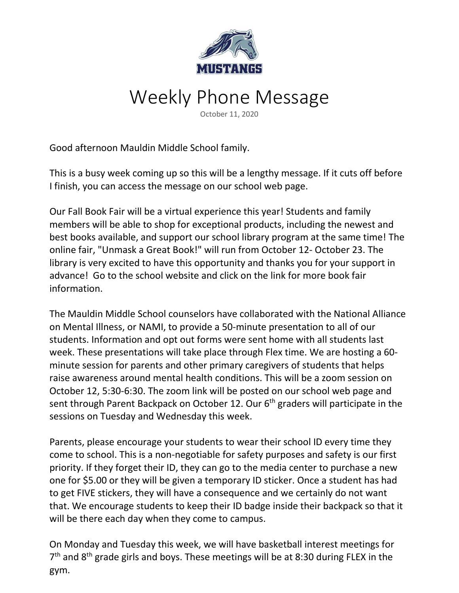

## Weekly Phone Message

October 11, 2020

Good afternoon Mauldin Middle School family.

This is a busy week coming up so this will be a lengthy message. If it cuts off before I finish, you can access the message on our school web page.

Our Fall Book Fair will be a virtual experience this year! Students and family members will be able to shop for exceptional products, including the newest and best books available, and support our school library program at the same time! The online fair, "Unmask a Great Book!" will run from October 12- October 23. The library is very excited to have this opportunity and thanks you for your support in advance! Go to the school website and click on the link for more book fair information.

The Mauldin Middle School counselors have collaborated with the National Alliance on Mental Illness, or NAMI, to provide a 50-minute presentation to all of our students. Information and opt out forms were sent home with all students last week. These presentations will take place through Flex time. We are hosting a 60 minute session for parents and other primary caregivers of students that helps raise awareness around mental health conditions. This will be a zoom session on October 12, 5:30-6:30. The zoom link will be posted on our school web page and sent through Parent Backpack on October 12. Our 6<sup>th</sup> graders will participate in the sessions on Tuesday and Wednesday this week.

Parents, please encourage your students to wear their school ID every time they come to school. This is a non-negotiable for safety purposes and safety is our first priority. If they forget their ID, they can go to the media center to purchase a new one for \$5.00 or they will be given a temporary ID sticker. Once a student has had to get FIVE stickers, they will have a consequence and we certainly do not want that. We encourage students to keep their ID badge inside their backpack so that it will be there each day when they come to campus.

On Monday and Tuesday this week, we will have basketball interest meetings for 7<sup>th</sup> and 8<sup>th</sup> grade girls and boys. These meetings will be at 8:30 during FLEX in the gym.